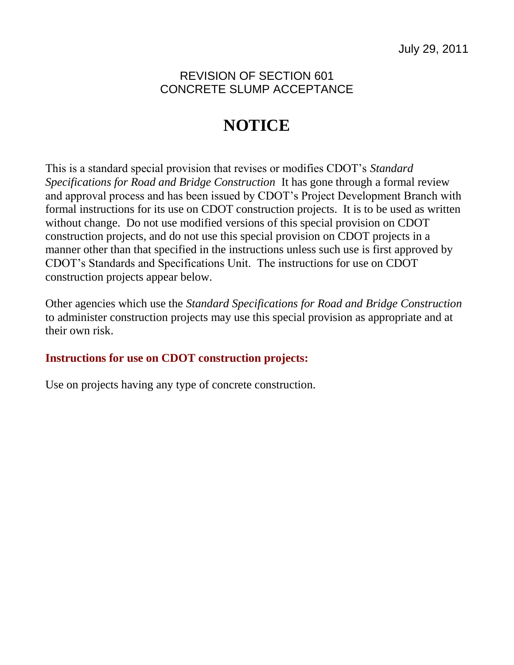## REVISION OF SECTION 601 CONCRETE SLUMP ACCEPTANCE

# **NOTICE**

This is a standard special provision that revises or modifies CDOT's *Standard Specifications for Road and Bridge Construction* It has gone through a formal review and approval process and has been issued by CDOT's Project Development Branch with formal instructions for its use on CDOT construction projects. It is to be used as written without change. Do not use modified versions of this special provision on CDOT construction projects, and do not use this special provision on CDOT projects in a manner other than that specified in the instructions unless such use is first approved by CDOT's Standards and Specifications Unit. The instructions for use on CDOT construction projects appear below.

Other agencies which use the *Standard Specifications for Road and Bridge Construction* to administer construction projects may use this special provision as appropriate and at their own risk.

### **Instructions for use on CDOT construction projects:**

Use on projects having any type of concrete construction.